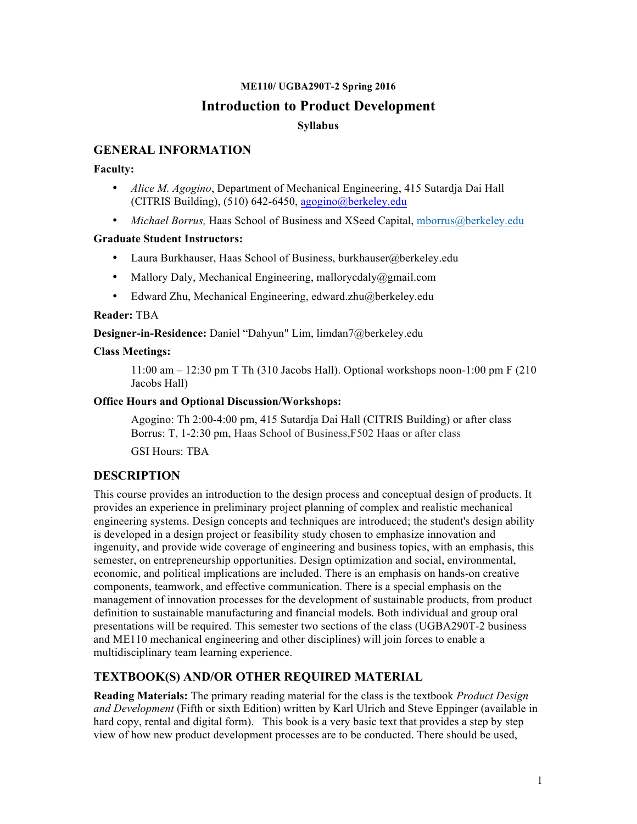### **ME110/ UGBA290T-2 Spring 2016**

### **Introduction to Product Development**

### **Syllabus**

### **GENERAL INFORMATION**

#### **Faculty:**

- *Alice M. Agogino*, Department of Mechanical Engineering, 415 Sutardja Dai Hall (CITRIS Building),  $(510)$  642-6450, agogino@berkeley.edu
- *Michael Borrus, Haas School of Business and XSeed Capital, mborrus@berkeley.edu*

#### **Graduate Student Instructors:**

- Laura Burkhauser, Haas School of Business, burkhauser@berkeley.edu
- Mallory Daly, Mechanical Engineering, mallorycdaly@gmail.com
- Edward Zhu, Mechanical Engineering, edward.zhu@berkeley.edu

#### **Reader:** TBA

**Designer-in-Residence:** Daniel "Dahyun" Lim, limdan7@berkeley.edu

#### **Class Meetings:**

11:00 am – 12:30 pm T Th (310 Jacobs Hall). Optional workshops noon-1:00 pm F (210 Jacobs Hall)

#### **Office Hours and Optional Discussion/Workshops:**

Agogino: Th 2:00-4:00 pm, 415 Sutardja Dai Hall (CITRIS Building) or after class Borrus: T, 1-2:30 pm, Haas School of Business,F502 Haas or after class

GSI Hours: TBA

### **DESCRIPTION**

This course provides an introduction to the design process and conceptual design of products. It provides an experience in preliminary project planning of complex and realistic mechanical engineering systems. Design concepts and techniques are introduced; the student's design ability is developed in a design project or feasibility study chosen to emphasize innovation and ingenuity, and provide wide coverage of engineering and business topics, with an emphasis, this semester, on entrepreneurship opportunities. Design optimization and social, environmental, economic, and political implications are included. There is an emphasis on hands-on creative components, teamwork, and effective communication. There is a special emphasis on the management of innovation processes for the development of sustainable products, from product definition to sustainable manufacturing and financial models. Both individual and group oral presentations will be required. This semester two sections of the class (UGBA290T-2 business and ME110 mechanical engineering and other disciplines) will join forces to enable a multidisciplinary team learning experience.

### **TEXTBOOK(S) AND/OR OTHER REQUIRED MATERIAL**

**Reading Materials:** The primary reading material for the class is the textbook *Product Design and Development* (Fifth or sixth Edition) written by Karl Ulrich and Steve Eppinger (available in hard copy, rental and digital form). This book is a very basic text that provides a step by step view of how new product development processes are to be conducted. There should be used,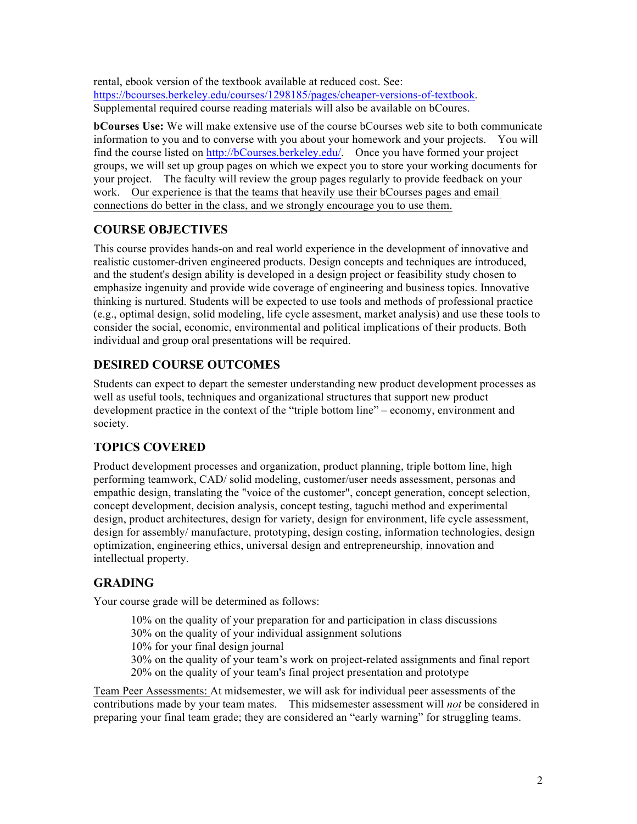rental, ebook version of the textbook available at reduced cost. See: https://bcourses.berkeley.edu/courses/1298185/pages/cheaper-versions-of-textbook. Supplemental required course reading materials will also be available on bCoures.

**bCourses Use:** We will make extensive use of the course bCourses web site to both communicate information to you and to converse with you about your homework and your projects. You will find the course listed on http://bCourses.berkeley.edu/. Once you have formed your project groups, we will set up group pages on which we expect you to store your working documents for your project. The faculty will review the group pages regularly to provide feedback on your work. Our experience is that the teams that heavily use their bCourses pages and email connections do better in the class, and we strongly encourage you to use them.

## **COURSE OBJECTIVES**

This course provides hands-on and real world experience in the development of innovative and realistic customer-driven engineered products. Design concepts and techniques are introduced, and the student's design ability is developed in a design project or feasibility study chosen to emphasize ingenuity and provide wide coverage of engineering and business topics. Innovative thinking is nurtured. Students will be expected to use tools and methods of professional practice (e.g., optimal design, solid modeling, life cycle assesment, market analysis) and use these tools to consider the social, economic, environmental and political implications of their products. Both individual and group oral presentations will be required.

### **DESIRED COURSE OUTCOMES**

Students can expect to depart the semester understanding new product development processes as well as useful tools, techniques and organizational structures that support new product development practice in the context of the "triple bottom line" – economy, environment and society.

## **TOPICS COVERED**

Product development processes and organization, product planning, triple bottom line, high performing teamwork, CAD/ solid modeling, customer/user needs assessment, personas and empathic design, translating the "voice of the customer", concept generation, concept selection, concept development, decision analysis, concept testing, taguchi method and experimental design, product architectures, design for variety, design for environment, life cycle assessment, design for assembly/ manufacture, prototyping, design costing, information technologies, design optimization, engineering ethics, universal design and entrepreneurship, innovation and intellectual property.

## **GRADING**

Your course grade will be determined as follows:

10% on the quality of your preparation for and participation in class discussions 30% on the quality of your individual assignment solutions 10% for your final design journal

30% on the quality of your team's work on project-related assignments and final report 20% on the quality of your team's final project presentation and prototype

Team Peer Assessments: At midsemester, we will ask for individual peer assessments of the contributions made by your team mates. This midsemester assessment will *not* be considered in preparing your final team grade; they are considered an "early warning" for struggling teams.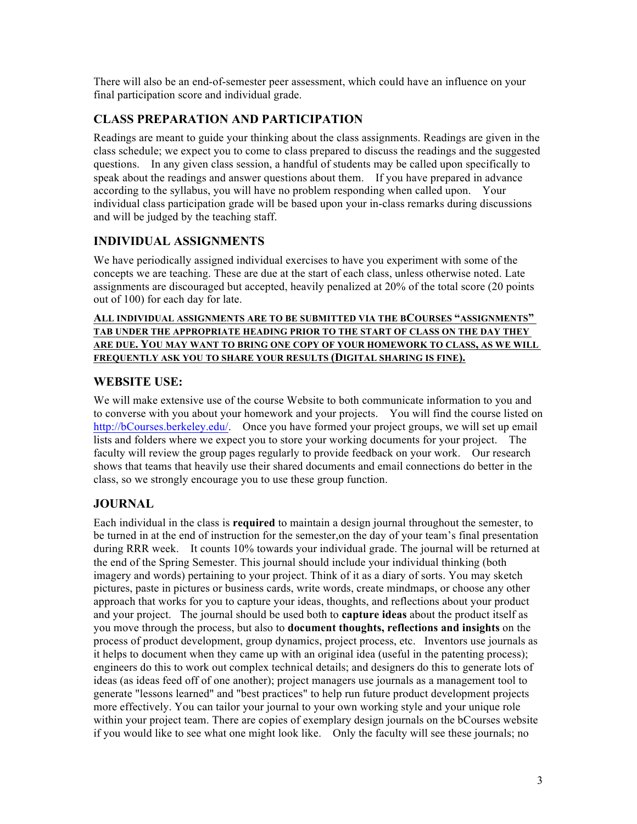There will also be an end-of-semester peer assessment, which could have an influence on your final participation score and individual grade.

# **CLASS PREPARATION AND PARTICIPATION**

Readings are meant to guide your thinking about the class assignments. Readings are given in the class schedule; we expect you to come to class prepared to discuss the readings and the suggested questions. In any given class session, a handful of students may be called upon specifically to speak about the readings and answer questions about them. If you have prepared in advance according to the syllabus, you will have no problem responding when called upon. Your individual class participation grade will be based upon your in-class remarks during discussions and will be judged by the teaching staff.

# **INDIVIDUAL ASSIGNMENTS**

We have periodically assigned individual exercises to have you experiment with some of the concepts we are teaching. These are due at the start of each class, unless otherwise noted. Late assignments are discouraged but accepted, heavily penalized at 20% of the total score (20 points out of 100) for each day for late.

### **ALL INDIVIDUAL ASSIGNMENTS ARE TO BE SUBMITTED VIA THE BCOURSES "ASSIGNMENTS" TAB UNDER THE APPROPRIATE HEADING PRIOR TO THE START OF CLASS ON THE DAY THEY ARE DUE. YOU MAY WANT TO BRING ONE COPY OF YOUR HOMEWORK TO CLASS, AS WE WILL FREQUENTLY ASK YOU TO SHARE YOUR RESULTS (DIGITAL SHARING IS FINE).**

## **WEBSITE USE:**

We will make extensive use of the course Website to both communicate information to you and to converse with you about your homework and your projects. You will find the course listed on http://bCourses.berkeley.edu/. Once you have formed your project groups, we will set up email lists and folders where we expect you to store your working documents for your project. The faculty will review the group pages regularly to provide feedback on your work. Our research shows that teams that heavily use their shared documents and email connections do better in the class, so we strongly encourage you to use these group function.

## **JOURNAL**

Each individual in the class is **required** to maintain a design journal throughout the semester, to be turned in at the end of instruction for the semester,on the day of your team's final presentation during RRR week. It counts 10% towards your individual grade. The journal will be returned at the end of the Spring Semester. This journal should include your individual thinking (both imagery and words) pertaining to your project. Think of it as a diary of sorts. You may sketch pictures, paste in pictures or business cards, write words, create mindmaps, or choose any other approach that works for you to capture your ideas, thoughts, and reflections about your product and your project. The journal should be used both to **capture ideas** about the product itself as you move through the process, but also to **document thoughts, reflections and insights** on the process of product development, group dynamics, project process, etc. Inventors use journals as it helps to document when they came up with an original idea (useful in the patenting process); engineers do this to work out complex technical details; and designers do this to generate lots of ideas (as ideas feed off of one another); project managers use journals as a management tool to generate "lessons learned" and "best practices" to help run future product development projects more effectively. You can tailor your journal to your own working style and your unique role within your project team. There are copies of exemplary design journals on the bCourses website if you would like to see what one might look like. Only the faculty will see these journals; no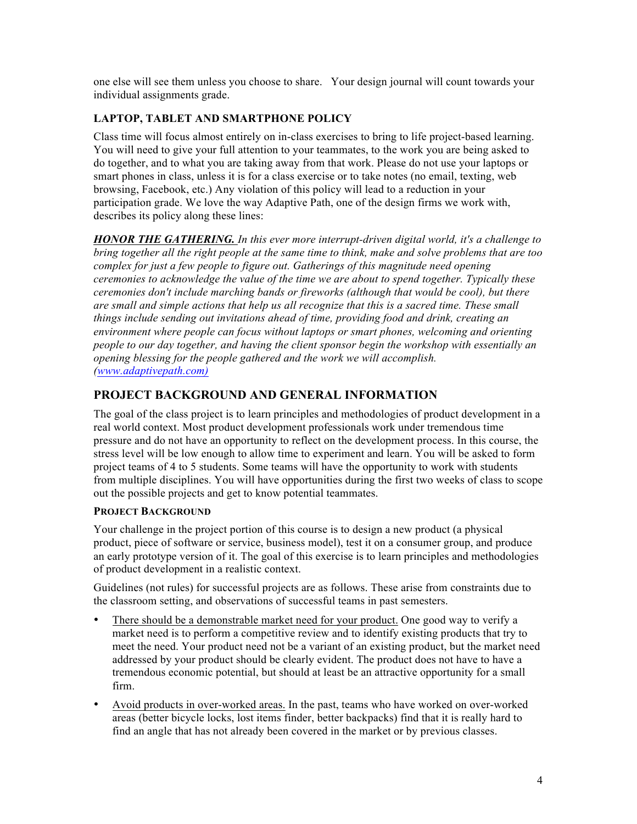one else will see them unless you choose to share. Your design journal will count towards your individual assignments grade.

### **LAPTOP, TABLET AND SMARTPHONE POLICY**

Class time will focus almost entirely on in-class exercises to bring to life project-based learning. You will need to give your full attention to your teammates, to the work you are being asked to do together, and to what you are taking away from that work. Please do not use your laptops or smart phones in class, unless it is for a class exercise or to take notes (no email, texting, web browsing, Facebook, etc.) Any violation of this policy will lead to a reduction in your participation grade. We love the way Adaptive Path, one of the design firms we work with, describes its policy along these lines:

*HONOR THE GATHERING. In this ever more interrupt-driven digital world, it's a challenge to bring together all the right people at the same time to think, make and solve problems that are too complex for just a few people to figure out. Gatherings of this magnitude need opening ceremonies to acknowledge the value of the time we are about to spend together. Typically these ceremonies don't include marching bands or fireworks (although that would be cool), but there are small and simple actions that help us all recognize that this is a sacred time. These small things include sending out invitations ahead of time, providing food and drink, creating an environment where people can focus without laptops or smart phones, welcoming and orienting people to our day together, and having the client sponsor begin the workshop with essentially an opening blessing for the people gathered and the work we will accomplish. (www.adaptivepath.com)*

# **PROJECT BACKGROUND AND GENERAL INFORMATION**

The goal of the class project is to learn principles and methodologies of product development in a real world context. Most product development professionals work under tremendous time pressure and do not have an opportunity to reflect on the development process. In this course, the stress level will be low enough to allow time to experiment and learn. You will be asked to form project teams of 4 to 5 students. Some teams will have the opportunity to work with students from multiple disciplines. You will have opportunities during the first two weeks of class to scope out the possible projects and get to know potential teammates.

### **PROJECT BACKGROUND**

Your challenge in the project portion of this course is to design a new product (a physical product, piece of software or service, business model), test it on a consumer group, and produce an early prototype version of it. The goal of this exercise is to learn principles and methodologies of product development in a realistic context.

Guidelines (not rules) for successful projects are as follows. These arise from constraints due to the classroom setting, and observations of successful teams in past semesters.

- There should be a demonstrable market need for your product. One good way to verify a market need is to perform a competitive review and to identify existing products that try to meet the need. Your product need not be a variant of an existing product, but the market need addressed by your product should be clearly evident. The product does not have to have a tremendous economic potential, but should at least be an attractive opportunity for a small firm.
- Avoid products in over-worked areas. In the past, teams who have worked on over-worked areas (better bicycle locks, lost items finder, better backpacks) find that it is really hard to find an angle that has not already been covered in the market or by previous classes.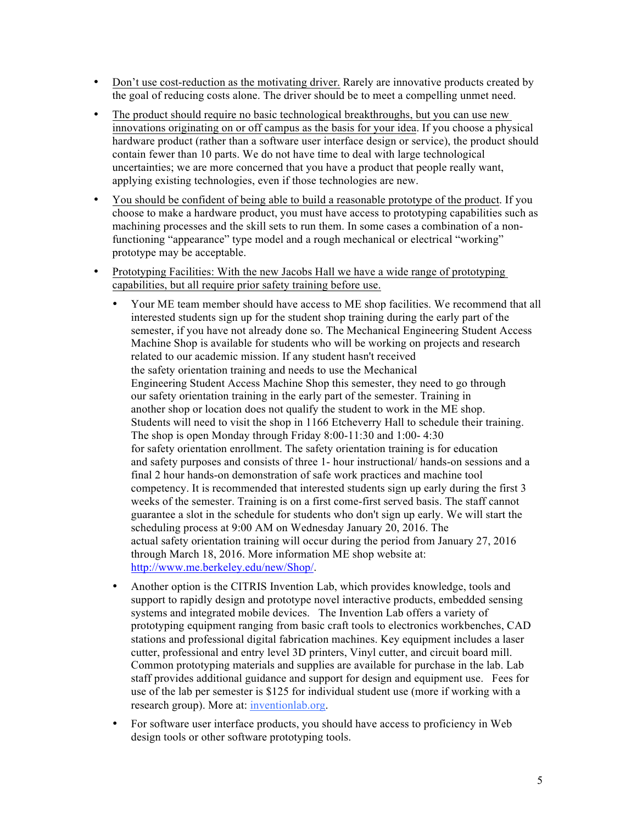- Don't use cost-reduction as the motivating driver. Rarely are innovative products created by the goal of reducing costs alone. The driver should be to meet a compelling unmet need.
- The product should require no basic technological breakthroughs, but you can use new innovations originating on or off campus as the basis for your idea. If you choose a physical hardware product (rather than a software user interface design or service), the product should contain fewer than 10 parts. We do not have time to deal with large technological uncertainties; we are more concerned that you have a product that people really want, applying existing technologies, even if those technologies are new.
- You should be confident of being able to build a reasonable prototype of the product. If you choose to make a hardware product, you must have access to prototyping capabilities such as machining processes and the skill sets to run them. In some cases a combination of a nonfunctioning "appearance" type model and a rough mechanical or electrical "working" prototype may be acceptable.
- Prototyping Facilities: With the new Jacobs Hall we have a wide range of prototyping capabilities, but all require prior safety training before use.
	- Your ME team member should have access to ME shop facilities. We recommend that all interested students sign up for the student shop training during the early part of the semester, if you have not already done so. The Mechanical Engineering Student Access Machine Shop is available for students who will be working on projects and research related to our academic mission. If any student hasn't received the safety orientation training and needs to use the Mechanical Engineering Student Access Machine Shop this semester, they need to go through our safety orientation training in the early part of the semester. Training in another shop or location does not qualify the student to work in the ME shop. Students will need to visit the shop in 1166 Etcheverry Hall to schedule their training. The shop is open Monday through Friday 8:00-11:30 and 1:00- 4:30 for safety orientation enrollment. The safety orientation training is for education and safety purposes and consists of three 1- hour instructional/ hands-on sessions and a final 2 hour hands-on demonstration of safe work practices and machine tool competency. It is recommended that interested students sign up early during the first 3 weeks of the semester. Training is on a first come-first served basis. The staff cannot guarantee a slot in the schedule for students who don't sign up early. We will start the scheduling process at 9:00 AM on Wednesday January 20, 2016. The actual safety orientation training will occur during the period from January 27, 2016 through March 18, 2016. More information ME shop website at: http://www.me.berkeley.edu/new/Shop/.
	- Another option is the CITRIS Invention Lab, which provides knowledge, tools and support to rapidly design and prototype novel interactive products, embedded sensing systems and integrated mobile devices. The Invention Lab offers a variety of prototyping equipment ranging from basic craft tools to electronics workbenches, CAD stations and professional digital fabrication machines. Key equipment includes a laser cutter, professional and entry level 3D printers, Vinyl cutter, and circuit board mill. Common prototyping materials and supplies are available for purchase in the lab. Lab staff provides additional guidance and support for design and equipment use. Fees for use of the lab per semester is \$125 for individual student use (more if working with a research group). More at: inventionlab.org.
	- For software user interface products, you should have access to proficiency in Web design tools or other software prototyping tools.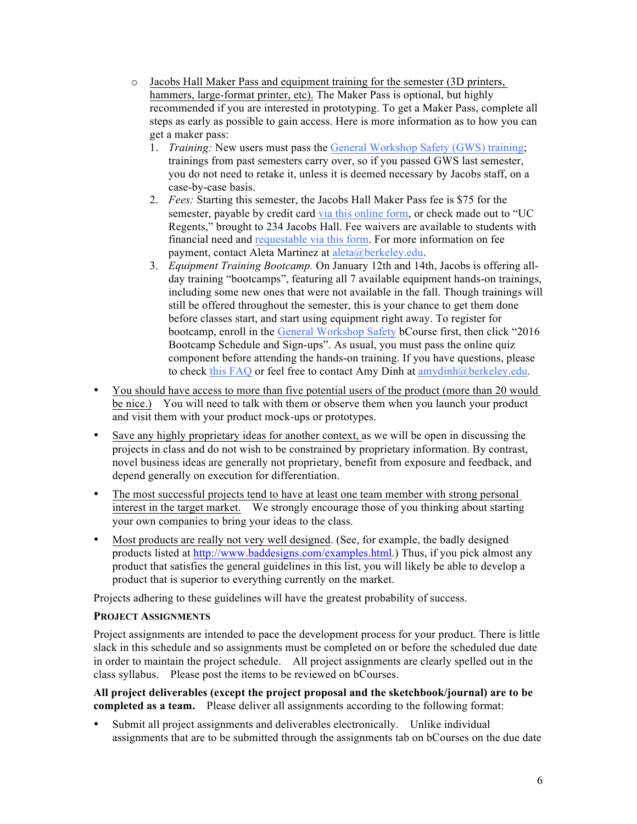- o Jacobs Hall Maker Pass and equipment training for the semester (3D printers, hammers, large-format printer, etc). The Maker Pass is optional, but highly recommended if you are interested in prototyping. To get a Maker Pass, complete all steps as early as possible to gain access. Here is more information as to how you can get a maker pass:
	- 1. *Training:* New users must pass the General Workshop Safety (GWS) training; trainings from past semesters carry over, so if you passed GWS last semester, you do not need to retake it, unless it is deemed necessary by Jacobs staff, on a case-by-case basis.
	- 2. *Fees:* Starting this semester, the Jacobs Hall Maker Pass fee is \$75 for the semester, payable by credit card via this online form, or check made out to "UC Regents," brought to 234 Jacobs Hall. Fee waivers are available to students with financial need and requestable via this form. For more information on fee payment, contact Aleta Martinez at aleta@berkeley.edu.
	- 3. *Equipment Training Bootcamp.* On January 12th and 14th, Jacobs is offering allday training "bootcamps", featuring all 7 available equipment hands-on trainings, including some new ones that were not available in the fall. Though trainings will still be offered throughout the semester, this is your chance to get them done before classes start, and start using equipment right away. To register for bootcamp, enroll in the General Workshop Safety bCourse first, then click "2016 Bootcamp Schedule and Sign-ups". As usual, you must pass the online quiz component before attending the hands-on training. If you have questions, please to check this FAQ or feel free to contact Amy Dinh at amydinh@berkeley.edu.
- You should have access to more than five potential users of the product (more than 20 would be nice.) You will need to talk with them or observe them when you launch your product and visit them with your product mock-ups or prototypes.
- Save any highly proprietary ideas for another context, as we will be open in discussing the projects in class and do not wish to be constrained by proprietary information. By contrast, novel business ideas are generally not proprietary, benefit from exposure and feedback, and depend generally on execution for differentiation.
- The most successful projects tend to have at least one team member with strong personal interest in the target market. We strongly encourage those of you thinking about starting your own companies to bring your ideas to the class.
- Most products are really not very well designed. (See, for example, the badly designed products listed at http://www.baddesigns.com/examples.html.) Thus, if you pick almost any product that satisfies the general guidelines in this list, you will likely be able to develop a product that is superior to everything currently on the market.

Projects adhering to these guidelines will have the greatest probability of success.

#### **PROJECT ASSIGNMENTS**

Project assignments are intended to pace the development process for your product. There is little slack in this schedule and so assignments must be completed on or before the scheduled due date in order to maintain the project schedule. All project assignments are clearly spelled out in the class syllabus. Please post the items to be reviewed on bCourses.

**All project deliverables (except the project proposal and the sketchbook/journal) are to be completed as a team.** Please deliver all assignments according to the following format:

• Submit all project assignments and deliverables electronically. Unlike individual assignments that are to be submitted through the assignments tab on bCourses on the due date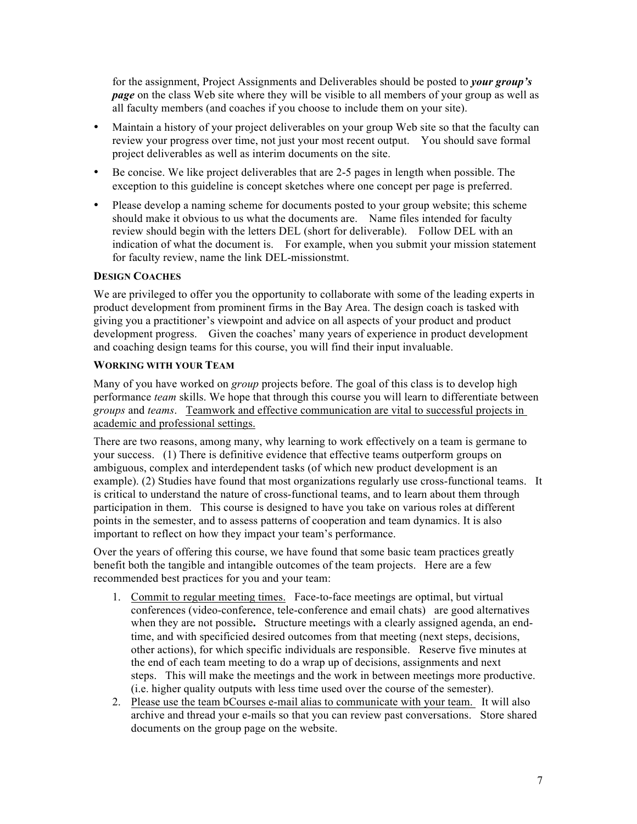for the assignment, Project Assignments and Deliverables should be posted to *your group's page* on the class Web site where they will be visible to all members of your group as well as all faculty members (and coaches if you choose to include them on your site).

- Maintain a history of your project deliverables on your group Web site so that the faculty can review your progress over time, not just your most recent output. You should save formal project deliverables as well as interim documents on the site.
- Be concise. We like project deliverables that are 2-5 pages in length when possible. The exception to this guideline is concept sketches where one concept per page is preferred.
- Please develop a naming scheme for documents posted to your group website; this scheme should make it obvious to us what the documents are. Name files intended for faculty review should begin with the letters DEL (short for deliverable). Follow DEL with an indication of what the document is. For example, when you submit your mission statement for faculty review, name the link DEL-missionstmt.

#### **DESIGN COACHES**

We are privileged to offer you the opportunity to collaborate with some of the leading experts in product development from prominent firms in the Bay Area. The design coach is tasked with giving you a practitioner's viewpoint and advice on all aspects of your product and product development progress. Given the coaches' many years of experience in product development and coaching design teams for this course, you will find their input invaluable.

#### **WORKING WITH YOUR TEAM**

Many of you have worked on *group* projects before. The goal of this class is to develop high performance *team* skills. We hope that through this course you will learn to differentiate between *groups* and *teams*. Teamwork and effective communication are vital to successful projects in academic and professional settings.

There are two reasons, among many, why learning to work effectively on a team is germane to your success. (1) There is definitive evidence that effective teams outperform groups on ambiguous, complex and interdependent tasks (of which new product development is an example). (2) Studies have found that most organizations regularly use cross-functional teams. It is critical to understand the nature of cross-functional teams, and to learn about them through participation in them. This course is designed to have you take on various roles at different points in the semester, and to assess patterns of cooperation and team dynamics. It is also important to reflect on how they impact your team's performance.

Over the years of offering this course, we have found that some basic team practices greatly benefit both the tangible and intangible outcomes of the team projects. Here are a few recommended best practices for you and your team:

- 1. Commit to regular meeting times. Face-to-face meetings are optimal, but virtual conferences (video-conference, tele-conference and email chats) are good alternatives when they are not possible**.** Structure meetings with a clearly assigned agenda, an endtime, and with specificied desired outcomes from that meeting (next steps, decisions, other actions), for which specific individuals are responsible. Reserve five minutes at the end of each team meeting to do a wrap up of decisions, assignments and next steps. This will make the meetings and the work in between meetings more productive. (i.e. higher quality outputs with less time used over the course of the semester).
- 2. Please use the team bCourses e-mail alias to communicate with your team. It will also archive and thread your e-mails so that you can review past conversations. Store shared documents on the group page on the website.